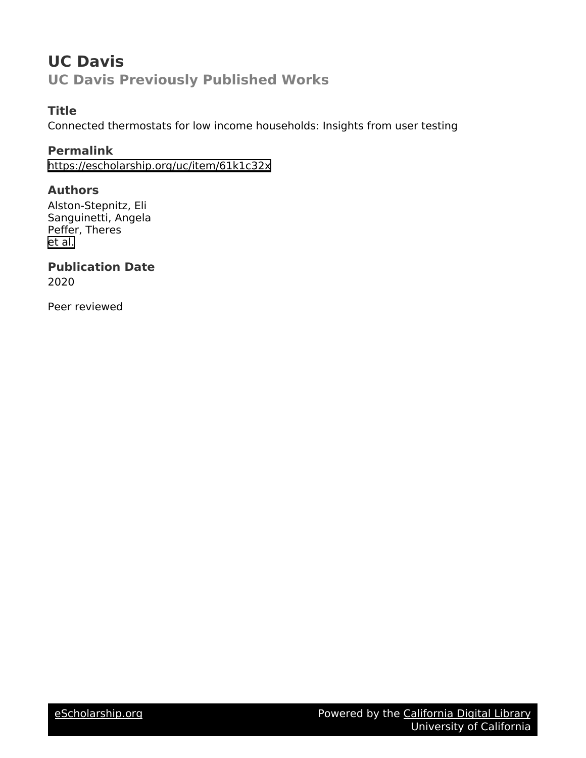# **UC Davis UC Davis Previously Published Works**

## **Title**

Connected thermostats for low income households: Insights from user testing

## **Permalink**

<https://escholarship.org/uc/item/61k1c32x>

## **Authors**

Alston-Stepnitz, Eli Sanguinetti, Angela Peffer, Theres [et al.](https://escholarship.org/uc/item/61k1c32x#author)

## **Publication Date**

2020

Peer reviewed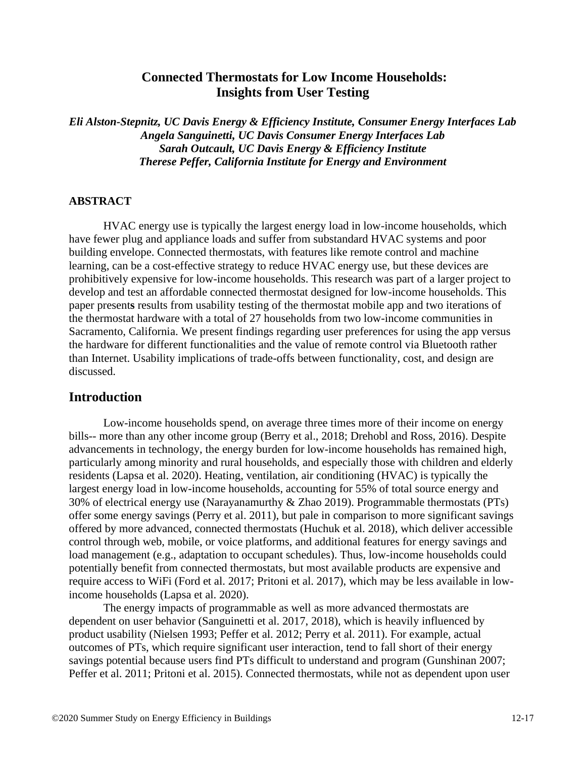## **Connected Thermostats for Low Income Households: Insights from User Testing**

*Eli Alston-Stepnitz, UC Davis Energy & Efficiency Institute, Consumer Energy Interfaces Lab Angela Sanguinetti, UC Davis Consumer Energy Interfaces Lab Sarah Outcault, UC Davis Energy & Efficiency Institute Therese Peffer, California Institute for Energy and Environment*

#### **ABSTRACT**

HVAC energy use is typically the largest energy load in low-income households, which have fewer plug and appliance loads and suffer from substandard HVAC systems and poor building envelope. Connected thermostats, with features like remote control and machine learning, can be a cost-effective strategy to reduce HVAC energy use, but these devices are prohibitively expensive for low-income households. This research was part of a larger project to develop and test an affordable connected thermostat designed for low-income households. This paper present**s** results from usability testing of the thermostat mobile app and two iterations of the thermostat hardware with a total of 27 households from two low-income communities in Sacramento, California. We present findings regarding user preferences for using the app versus the hardware for different functionalities and the value of remote control via Bluetooth rather than Internet. Usability implications of trade-offs between functionality, cost, and design are discussed.

### **Introduction**

Low-income households spend, on average three times more of their income on energy bills-- more than any other income group (Berry et al., 2018; Drehobl and Ross, 2016). Despite advancements in technology, the energy burden for low-income households has remained high, particularly among minority and rural households, and especially those with children and elderly residents (Lapsa et al. 2020). Heating, ventilation, air conditioning (HVAC) is typically the largest energy load in low-income households, accounting for 55% of total source energy and 30% of electrical energy use (Narayanamurthy & Zhao 2019). Programmable thermostats (PTs) offer some energy savings (Perry et al. 2011), but pale in comparison to more significant savings offered by more advanced, connected thermostats (Huchuk et al. 2018), which deliver accessible control through web, mobile, or voice platforms, and additional features for energy savings and load management (e.g., adaptation to occupant schedules). Thus, low-income households could potentially benefit from connected thermostats, but most available products are expensive and require access to WiFi (Ford et al. 2017; Pritoni et al. 2017), which may be less available in lowincome households (Lapsa et al. 2020).

The energy impacts of programmable as well as more advanced thermostats are dependent on user behavior (Sanguinetti et al. 2017, 2018), which is heavily influenced by product usability (Nielsen 1993; Peffer et al. 2012; Perry et al. 2011). For example, actual outcomes of PTs, which require significant user interaction, tend to fall short of their energy savings potential because users find PTs difficult to understand and program (Gunshinan 2007; Peffer et al. 2011; Pritoni et al. 2015). Connected thermostats, while not as dependent upon user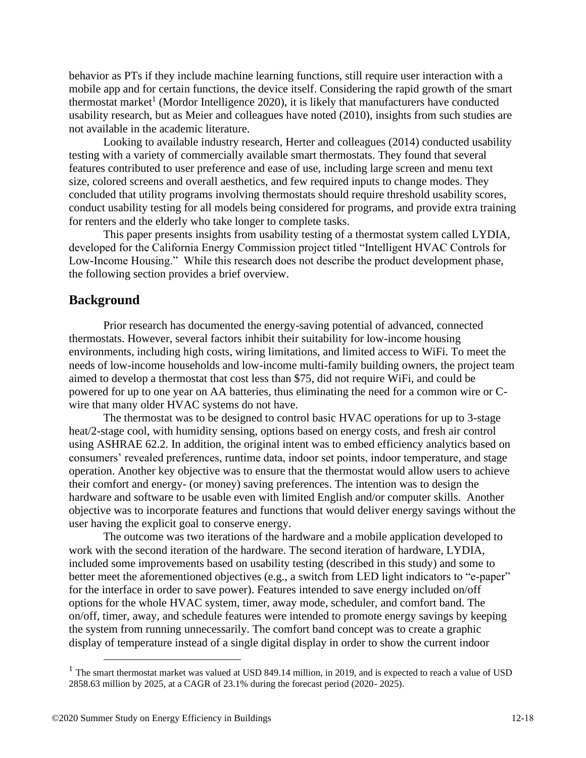behavior as PTs if they include machine learning functions, still require user interaction with a mobile app and for certain functions, the device itself. Considering the rapid growth of the smart thermostat market<sup>1</sup> (Mordor Intelligence 2020), it is likely that manufacturers have conducted usability research, but as Meier and colleagues have noted (2010), insights from such studies are not available in the academic literature.

Looking to available industry research, Herter and colleagues (2014) conducted usability testing with a variety of commercially available smart thermostats. They found that several features contributed to user preference and ease of use, including large screen and menu text size, colored screens and overall aesthetics, and few required inputs to change modes. They concluded that utility programs involving thermostats should require threshold usability scores, conduct usability testing for all models being considered for programs, and provide extra training for renters and the elderly who take longer to complete tasks.

This paper presents insights from usability testing of a thermostat system called LYDIA, developed for the California Energy Commission project titled "Intelligent HVAC Controls for Low-Income Housing." While this research does not describe the product development phase, the following section provides a brief overview.

### **Background**

Prior research has documented the energy-saving potential of advanced, connected thermostats. However, several factors inhibit their suitability for low-income housing environments, including high costs, wiring limitations, and limited access to WiFi. To meet the needs of low-income households and low-income multi-family building owners, the project team aimed to develop a thermostat that cost less than \$75, did not require WiFi, and could be powered for up to one year on AA batteries, thus eliminating the need for a common wire or Cwire that many older HVAC systems do not have.

The thermostat was to be designed to control basic HVAC operations for up to 3-stage heat/2-stage cool, with humidity sensing, options based on energy costs, and fresh air control using ASHRAE 62.2. In addition, the original intent was to embed efficiency analytics based on consumers' revealed preferences, runtime data, indoor set points, indoor temperature, and stage operation. Another key objective was to ensure that the thermostat would allow users to achieve their comfort and energy- (or money) saving preferences. The intention was to design the hardware and software to be usable even with limited English and/or computer skills. Another objective was to incorporate features and functions that would deliver energy savings without the user having the explicit goal to conserve energy.

The outcome was two iterations of the hardware and a mobile application developed to work with the second iteration of the hardware. The second iteration of hardware, LYDIA, included some improvements based on usability testing (described in this study) and some to better meet the aforementioned objectives (e.g., a switch from LED light indicators to "e-paper" for the interface in order to save power). Features intended to save energy included on/off options for the whole HVAC system, timer, away mode, scheduler, and comfort band. The on/off, timer, away, and schedule features were intended to promote energy savings by keeping the system from running unnecessarily. The comfort band concept was to create a graphic display of temperature instead of a single digital display in order to show the current indoor

 $<sup>1</sup>$  The smart thermostat market was valued at USD 849.14 million, in 2019, and is expected to reach a value of USD</sup> 2858.63 million by 2025, at a CAGR of 23.1% during the forecast period (2020- 2025).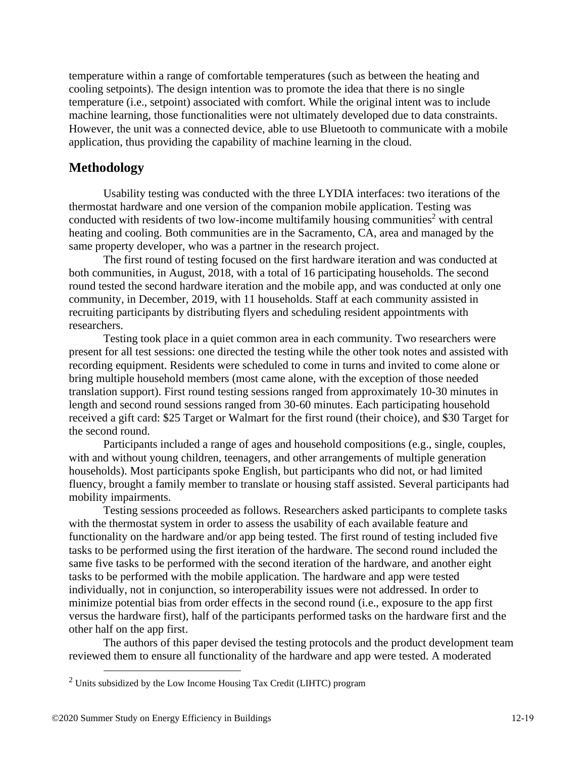temperature within a range of comfortable temperatures (such as between the heating and cooling setpoints). The design intention was to promote the idea that there is no single temperature (i.e., setpoint) associated with comfort. While the original intent was to include machine learning, those functionalities were not ultimately developed due to data constraints. However, the unit was a connected device, able to use Bluetooth to communicate with a mobile application, thus providing the capability of machine learning in the cloud.

## **Methodology**

Usability testing was conducted with the three LYDIA interfaces: two iterations of the thermostat hardware and one version of the companion mobile application. Testing was conducted with residents of two low-income multifamily housing communities<sup>2</sup> with central heating and cooling. Both communities are in the Sacramento, CA, area and managed by the same property developer, who was a partner in the research project.

The first round of testing focused on the first hardware iteration and was conducted at both communities, in August, 2018, with a total of 16 participating households. The second round tested the second hardware iteration and the mobile app, and was conducted at only one community, in December, 2019, with 11 households. Staff at each community assisted in recruiting participants by distributing flyers and scheduling resident appointments with researchers.

Testing took place in a quiet common area in each community. Two researchers were present for all test sessions: one directed the testing while the other took notes and assisted with recording equipment. Residents were scheduled to come in turns and invited to come alone or bring multiple household members (most came alone, with the exception of those needed translation support). First round testing sessions ranged from approximately 10-30 minutes in length and second round sessions ranged from 30-60 minutes. Each participating household received a gift card: \$25 Target or Walmart for the first round (their choice), and \$30 Target for the second round.

Participants included a range of ages and household compositions (e.g., single, couples, with and without young children, teenagers, and other arrangements of multiple generation households). Most participants spoke English, but participants who did not, or had limited fluency, brought a family member to translate or housing staff assisted. Several participants had mobility impairments.

Testing sessions proceeded as follows. Researchers asked participants to complete tasks with the thermostat system in order to assess the usability of each available feature and functionality on the hardware and/or app being tested. The first round of testing included five tasks to be performed using the first iteration of the hardware. The second round included the same five tasks to be performed with the second iteration of the hardware, and another eight tasks to be performed with the mobile application. The hardware and app were tested individually, not in conjunction, so interoperability issues were not addressed. In order to minimize potential bias from order effects in the second round (i.e., exposure to the app first versus the hardware first), half of the participants performed tasks on the hardware first and the other half on the app first.

The authors of this paper devised the testing protocols and the product development team reviewed them to ensure all functionality of the hardware and app were tested. A moderated

<sup>2</sup> Units subsidized by the Low Income Housing Tax Credit (LIHTC) program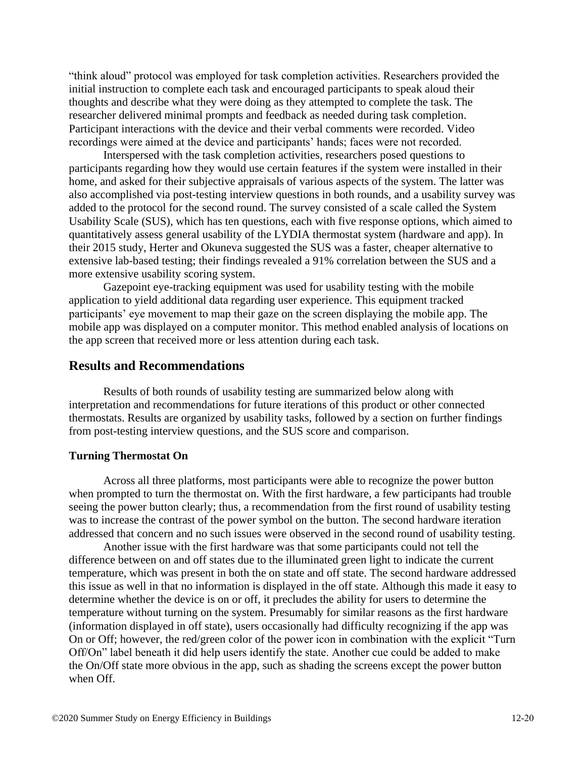"think aloud" protocol was employed for task completion activities. Researchers provided the initial instruction to complete each task and encouraged participants to speak aloud their thoughts and describe what they were doing as they attempted to complete the task. The researcher delivered minimal prompts and feedback as needed during task completion. Participant interactions with the device and their verbal comments were recorded. Video recordings were aimed at the device and participants' hands; faces were not recorded.

Interspersed with the task completion activities, researchers posed questions to participants regarding how they would use certain features if the system were installed in their home, and asked for their subjective appraisals of various aspects of the system. The latter was also accomplished via post-testing interview questions in both rounds, and a usability survey was added to the protocol for the second round. The survey consisted of a scale called the System Usability Scale (SUS), which has ten questions, each with five response options, which aimed to quantitatively assess general usability of the LYDIA thermostat system (hardware and app). In their 2015 study, Herter and Okuneva suggested the SUS was a faster, cheaper alternative to extensive lab-based testing; their findings revealed a 91% correlation between the SUS and a more extensive usability scoring system.

Gazepoint eye-tracking equipment was used for usability testing with the mobile application to yield additional data regarding user experience. This equipment tracked participants' eye movement to map their gaze on the screen displaying the mobile app. The mobile app was displayed on a computer monitor. This method enabled analysis of locations on the app screen that received more or less attention during each task.

#### **Results and Recommendations**

Results of both rounds of usability testing are summarized below along with interpretation and recommendations for future iterations of this product or other connected thermostats. Results are organized by usability tasks, followed by a section on further findings from post-testing interview questions, and the SUS score and comparison.

#### **Turning Thermostat On**

Across all three platforms, most participants were able to recognize the power button when prompted to turn the thermostat on. With the first hardware, a few participants had trouble seeing the power button clearly; thus, a recommendation from the first round of usability testing was to increase the contrast of the power symbol on the button. The second hardware iteration addressed that concern and no such issues were observed in the second round of usability testing.

Another issue with the first hardware was that some participants could not tell the difference between on and off states due to the illuminated green light to indicate the current temperature, which was present in both the on state and off state. The second hardware addressed this issue as well in that no information is displayed in the off state. Although this made it easy to determine whether the device is on or off, it precludes the ability for users to determine the temperature without turning on the system. Presumably for similar reasons as the first hardware (information displayed in off state), users occasionally had difficulty recognizing if the app was On or Off; however, the red/green color of the power icon in combination with the explicit "Turn Off/On" label beneath it did help users identify the state. Another cue could be added to make the On/Off state more obvious in the app, such as shading the screens except the power button when Off.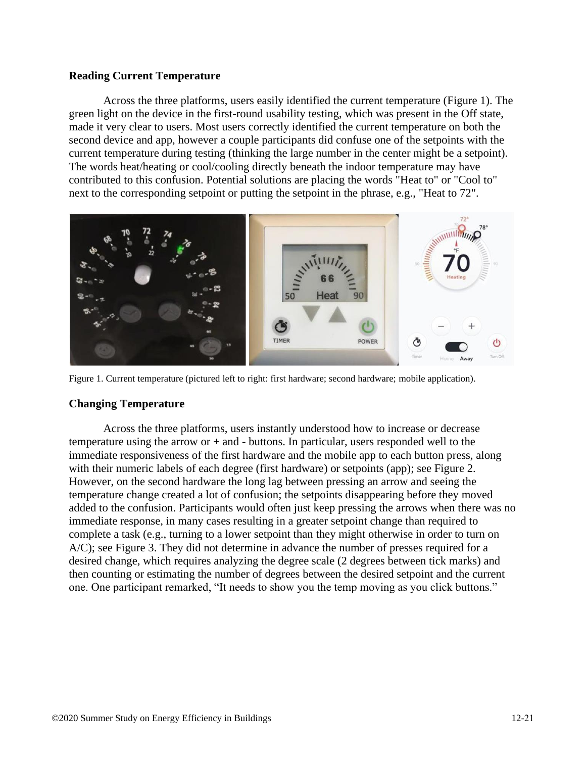#### **Reading Current Temperature**

Across the three platforms, users easily identified the current temperature (Figure 1). The green light on the device in the first-round usability testing, which was present in the Off state, made it very clear to users. Most users correctly identified the current temperature on both the second device and app, however a couple participants did confuse one of the setpoints with the current temperature during testing (thinking the large number in the center might be a setpoint). The words heat/heating or cool/cooling directly beneath the indoor temperature may have contributed to this confusion. Potential solutions are placing the words "Heat to" or "Cool to" next to the corresponding setpoint or putting the setpoint in the phrase, e.g., "Heat to 72".



Figure 1. Current temperature (pictured left to right: first hardware; second hardware; mobile application).

#### **Changing Temperature**

Across the three platforms, users instantly understood how to increase or decrease temperature using the arrow or  $+$  and  $-$  buttons. In particular, users responded well to the immediate responsiveness of the first hardware and the mobile app to each button press, along with their numeric labels of each degree (first hardware) or setpoints (app); see Figure 2. However, on the second hardware the long lag between pressing an arrow and seeing the temperature change created a lot of confusion; the setpoints disappearing before they moved added to the confusion. Participants would often just keep pressing the arrows when there was no immediate response, in many cases resulting in a greater setpoint change than required to complete a task (e.g., turning to a lower setpoint than they might otherwise in order to turn on A/C); see Figure 3. They did not determine in advance the number of presses required for a desired change, which requires analyzing the degree scale (2 degrees between tick marks) and then counting or estimating the number of degrees between the desired setpoint and the current one. One participant remarked, "It needs to show you the temp moving as you click buttons."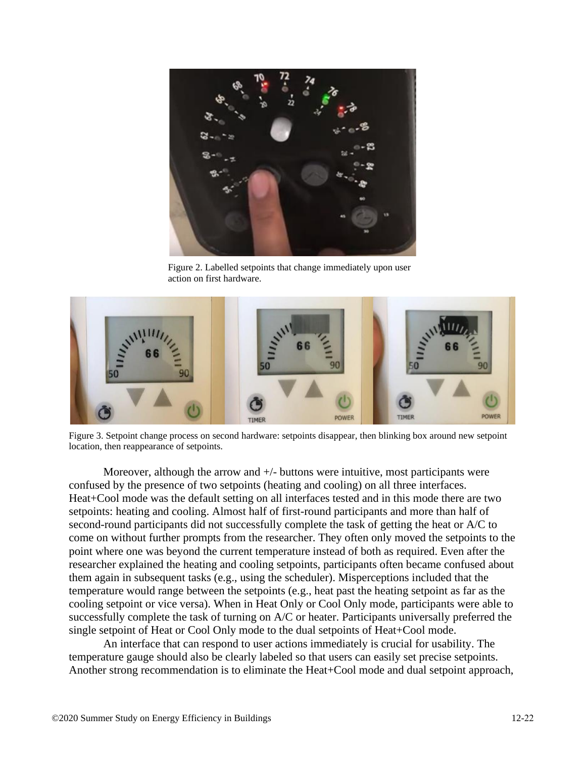

Figure 2. Labelled setpoints that change immediately upon user action on first hardware.



Figure 3. Setpoint change process on second hardware: setpoints disappear, then blinking box around new setpoint location, then reappearance of setpoints.

Moreover, although the arrow and  $+/-$  buttons were intuitive, most participants were confused by the presence of two setpoints (heating and cooling) on all three interfaces. Heat+Cool mode was the default setting on all interfaces tested and in this mode there are two setpoints: heating and cooling. Almost half of first-round participants and more than half of second-round participants did not successfully complete the task of getting the heat or A/C to come on without further prompts from the researcher. They often only moved the setpoints to the point where one was beyond the current temperature instead of both as required. Even after the researcher explained the heating and cooling setpoints, participants often became confused about them again in subsequent tasks (e.g., using the scheduler). Misperceptions included that the temperature would range between the setpoints (e.g., heat past the heating setpoint as far as the cooling setpoint or vice versa). When in Heat Only or Cool Only mode, participants were able to successfully complete the task of turning on A/C or heater. Participants universally preferred the single setpoint of Heat or Cool Only mode to the dual setpoints of Heat+Cool mode.

An interface that can respond to user actions immediately is crucial for usability. The temperature gauge should also be clearly labeled so that users can easily set precise setpoints. Another strong recommendation is to eliminate the Heat+Cool mode and dual setpoint approach,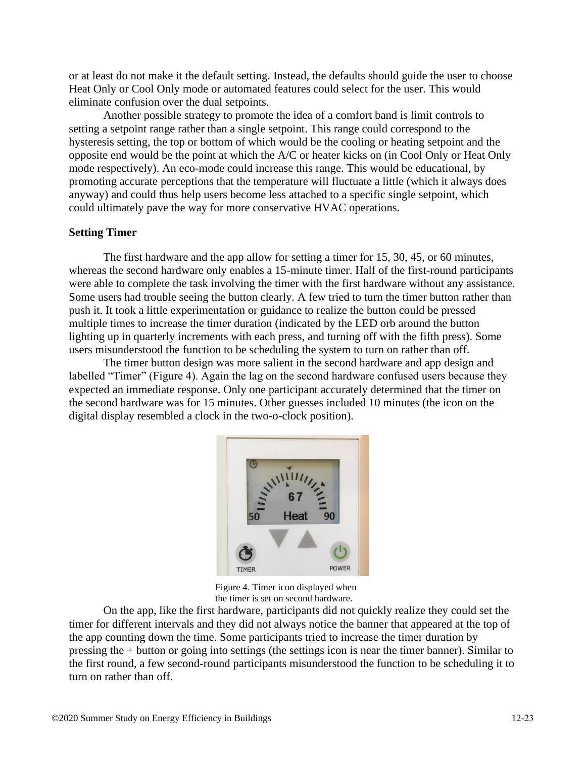or at least do not make it the default setting. Instead, the defaults should guide the user to choose Heat Only or Cool Only mode or automated features could select for the user. This would eliminate confusion over the dual setpoints.

Another possible strategy to promote the idea of a comfort band is limit controls to setting a setpoint range rather than a single setpoint. This range could correspond to the hysteresis setting, the top or bottom of which would be the cooling or heating setpoint and the opposite end would be the point at which the A/C or heater kicks on (in Cool Only or Heat Only mode respectively). An eco-mode could increase this range. This would be educational, by promoting accurate perceptions that the temperature will fluctuate a little (which it always does anyway) and could thus help users become less attached to a specific single setpoint, which could ultimately pave the way for more conservative HVAC operations.

#### **Setting Timer**

The first hardware and the app allow for setting a timer for 15, 30, 45, or 60 minutes, whereas the second hardware only enables a 15-minute timer. Half of the first-round participants were able to complete the task involving the timer with the first hardware without any assistance. Some users had trouble seeing the button clearly. A few tried to turn the timer button rather than push it. It took a little experimentation or guidance to realize the button could be pressed multiple times to increase the timer duration (indicated by the LED orb around the button lighting up in quarterly increments with each press, and turning off with the fifth press). Some users misunderstood the function to be scheduling the system to turn on rather than off.

The timer button design was more salient in the second hardware and app design and labelled "Timer" (Figure 4). Again the lag on the second hardware confused users because they expected an immediate response. Only one participant accurately determined that the timer on the second hardware was for 15 minutes. Other guesses included 10 minutes (the icon on the digital display resembled a clock in the two-o-clock position).



Figure 4. Timer icon displayed when the timer is set on second hardware.

On the app, like the first hardware, participants did not quickly realize they could set the timer for different intervals and they did not always notice the banner that appeared at the top of the app counting down the time. Some participants tried to increase the timer duration by pressing the + button or going into settings (the settings icon is near the timer banner). Similar to the first round, a few second-round participants misunderstood the function to be scheduling it to turn on rather than off.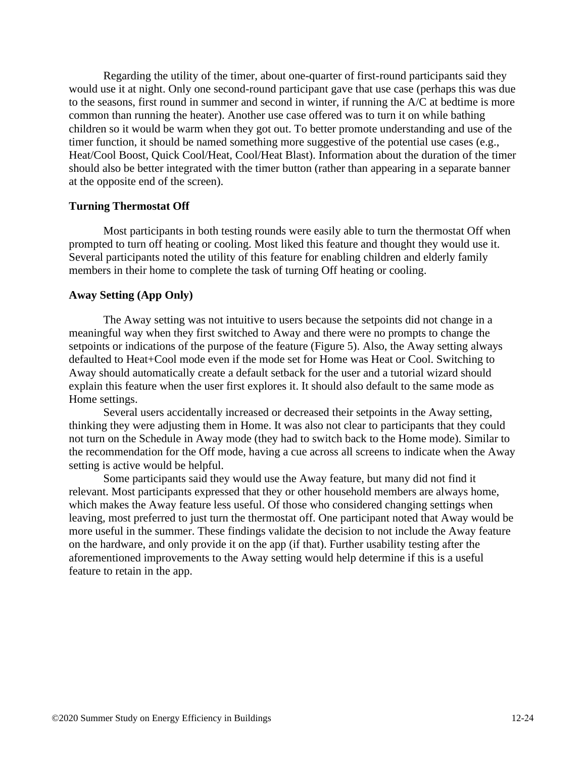Regarding the utility of the timer, about one-quarter of first-round participants said they would use it at night. Only one second-round participant gave that use case (perhaps this was due to the seasons, first round in summer and second in winter, if running the A/C at bedtime is more common than running the heater). Another use case offered was to turn it on while bathing children so it would be warm when they got out. To better promote understanding and use of the timer function, it should be named something more suggestive of the potential use cases (e.g., Heat/Cool Boost, Quick Cool/Heat, Cool/Heat Blast). Information about the duration of the timer should also be better integrated with the timer button (rather than appearing in a separate banner at the opposite end of the screen).

#### **Turning Thermostat Off**

Most participants in both testing rounds were easily able to turn the thermostat Off when prompted to turn off heating or cooling. Most liked this feature and thought they would use it. Several participants noted the utility of this feature for enabling children and elderly family members in their home to complete the task of turning Off heating or cooling.

#### **Away Setting (App Only)**

The Away setting was not intuitive to users because the setpoints did not change in a meaningful way when they first switched to Away and there were no prompts to change the setpoints or indications of the purpose of the feature (Figure 5). Also, the Away setting always defaulted to Heat+Cool mode even if the mode set for Home was Heat or Cool. Switching to Away should automatically create a default setback for the user and a tutorial wizard should explain this feature when the user first explores it. It should also default to the same mode as Home settings.

Several users accidentally increased or decreased their setpoints in the Away setting, thinking they were adjusting them in Home. It was also not clear to participants that they could not turn on the Schedule in Away mode (they had to switch back to the Home mode). Similar to the recommendation for the Off mode, having a cue across all screens to indicate when the Away setting is active would be helpful.

Some participants said they would use the Away feature, but many did not find it relevant. Most participants expressed that they or other household members are always home, which makes the Away feature less useful. Of those who considered changing settings when leaving, most preferred to just turn the thermostat off. One participant noted that Away would be more useful in the summer. These findings validate the decision to not include the Away feature on the hardware, and only provide it on the app (if that). Further usability testing after the aforementioned improvements to the Away setting would help determine if this is a useful feature to retain in the app.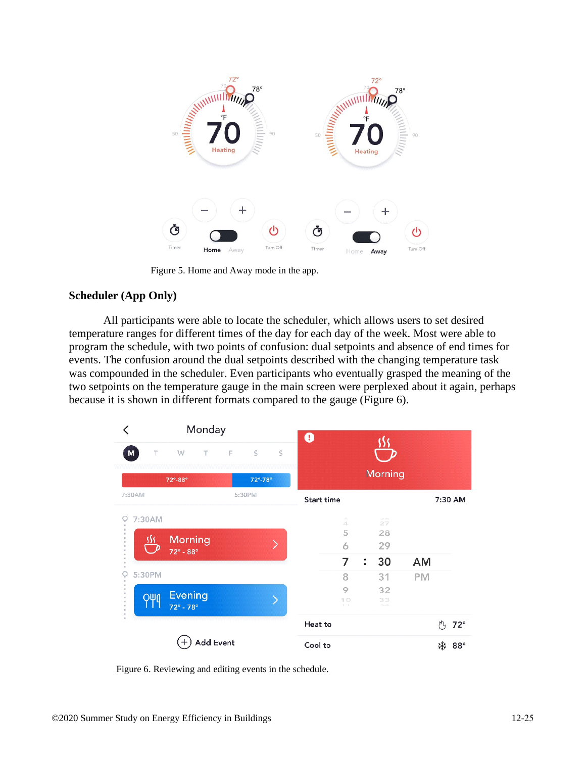

Figure 5. Home and Away mode in the app.

#### **Scheduler (App Only)**

All participants were able to locate the scheduler, which allows users to set desired temperature ranges for different times of the day for each day of the week. Most were able to program the schedule, with two points of confusion: dual setpoints and absence of end times for events. The confusion around the dual setpoints described with the changing temperature task was compounded in the scheduler. Even participants who eventually grasped the meaning of the two setpoints on the temperature gauge in the main screen were perplexed about it again, perhaps because it is shown in different formats compared to the gauge (Figure 6).

| Monday      |                           |                     | $\bf \bm \theta$ |                    |                 |           |   |            |
|-------------|---------------------------|---------------------|------------------|--------------------|-----------------|-----------|---|------------|
| Τ<br>M      | w<br>T                    | E<br>S<br>S         |                  |                    |                 |           |   |            |
|             | 72°-88°                   | $72^\circ.78^\circ$ | Morning          |                    |                 |           |   |            |
| 7:30AM      |                           | 5:30PM              | Start time       |                    |                 |           |   | 7:30 AM    |
| 7:30AM<br>O |                           |                     |                  | $\Rightarrow$<br>4 | $\approx$<br>27 |           |   |            |
|             | Morning                   |                     |                  | 5                  | 28              |           |   |            |
|             | $72^{\circ} - 88^{\circ}$ |                     |                  | 6                  | 29              |           |   |            |
|             |                           |                     |                  | 7                  | 30<br>፡         | <b>AM</b> |   |            |
| 5:30PM<br>Ç |                           |                     |                  | 8                  | 31              | PM        |   |            |
|             | <b>Evening</b>            |                     |                  | 9                  | 32              |           |   |            |
| 949         | $72^\circ - 78^\circ$     |                     |                  | 10<br>$1 - 1$      | 33<br>$-1.41$   |           |   |            |
|             |                           |                     | Heat to          |                    |                 |           | M | $72^\circ$ |
|             | <b>Add Event</b>          |                     | Cool to          |                    |                 |           | ₩ | $88^\circ$ |

Figure 6. Reviewing and editing events in the schedule.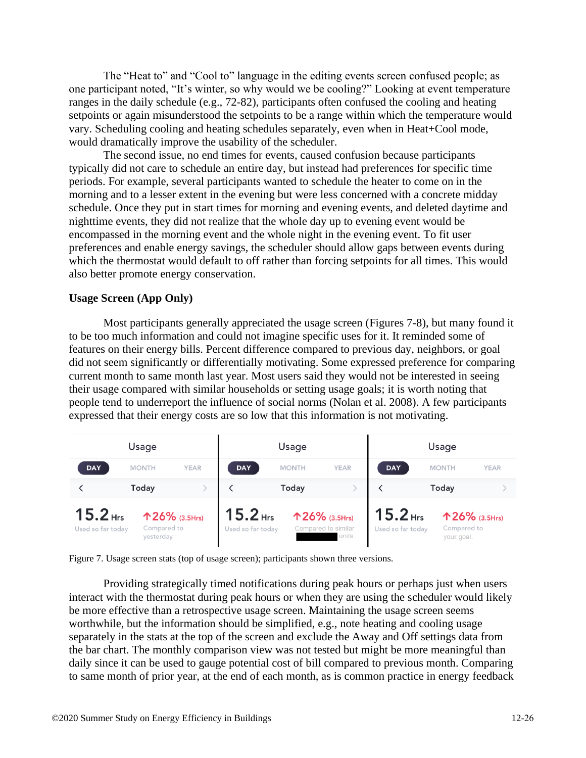The "Heat to" and "Cool to" language in the editing events screen confused people; as one participant noted, "It's winter, so why would we be cooling?" Looking at event temperature ranges in the daily schedule (e.g., 72-82), participants often confused the cooling and heating setpoints or again misunderstood the setpoints to be a range within which the temperature would vary. Scheduling cooling and heating schedules separately, even when in Heat+Cool mode, would dramatically improve the usability of the scheduler.

The second issue, no end times for events, caused confusion because participants typically did not care to schedule an entire day, but instead had preferences for specific time periods. For example, several participants wanted to schedule the heater to come on in the morning and to a lesser extent in the evening but were less concerned with a concrete midday schedule. Once they put in start times for morning and evening events, and deleted daytime and nighttime events, they did not realize that the whole day up to evening event would be encompassed in the morning event and the whole night in the evening event. To fit user preferences and enable energy savings, the scheduler should allow gaps between events during which the thermostat would default to off rather than forcing setpoints for all times. This would also better promote energy conservation.

#### **Usage Screen (App Only)**

Most participants generally appreciated the usage screen (Figures 7-8), but many found it to be too much information and could not imagine specific uses for it. It reminded some of features on their energy bills. Percent difference compared to previous day, neighbors, or goal did not seem significantly or differentially motivating. Some expressed preference for comparing current month to same month last year. Most users said they would not be interested in seeing their usage compared with similar households or setting usage goals; it is worth noting that people tend to underreport the influence of social norms (Nolan et al. 2008). A few participants expressed that their energy costs are so low that this information is not motivating.



Figure 7. Usage screen stats (top of usage screen); participants shown three versions.

Providing strategically timed notifications during peak hours or perhaps just when users interact with the thermostat during peak hours or when they are using the scheduler would likely be more effective than a retrospective usage screen. Maintaining the usage screen seems worthwhile, but the information should be simplified, e.g., note heating and cooling usage separately in the stats at the top of the screen and exclude the Away and Off settings data from the bar chart. The monthly comparison view was not tested but might be more meaningful than daily since it can be used to gauge potential cost of bill compared to previous month. Comparing to same month of prior year, at the end of each month, as is common practice in energy feedback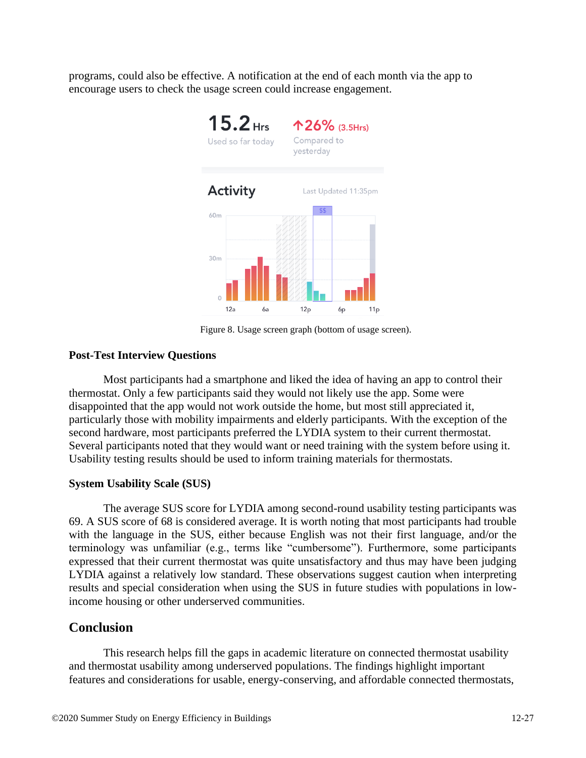programs, could also be effective. A notification at the end of each month via the app to encourage users to check the usage screen could increase engagement.



Figure 8. Usage screen graph (bottom of usage screen).

#### **Post-Test Interview Questions**

Most participants had a smartphone and liked the idea of having an app to control their thermostat. Only a few participants said they would not likely use the app. Some were disappointed that the app would not work outside the home, but most still appreciated it, particularly those with mobility impairments and elderly participants. With the exception of the second hardware, most participants preferred the LYDIA system to their current thermostat. Several participants noted that they would want or need training with the system before using it. Usability testing results should be used to inform training materials for thermostats.

#### **System Usability Scale (SUS)**

The average SUS score for LYDIA among second-round usability testing participants was 69. A SUS score of 68 is considered average. It is worth noting that most participants had trouble with the language in the SUS, either because English was not their first language, and/or the terminology was unfamiliar (e.g., terms like "cumbersome"). Furthermore, some participants expressed that their current thermostat was quite unsatisfactory and thus may have been judging LYDIA against a relatively low standard. These observations suggest caution when interpreting results and special consideration when using the SUS in future studies with populations in lowincome housing or other underserved communities.

### **Conclusion**

This research helps fill the gaps in academic literature on connected thermostat usability and thermostat usability among underserved populations. The findings highlight important features and considerations for usable, energy-conserving, and affordable connected thermostats,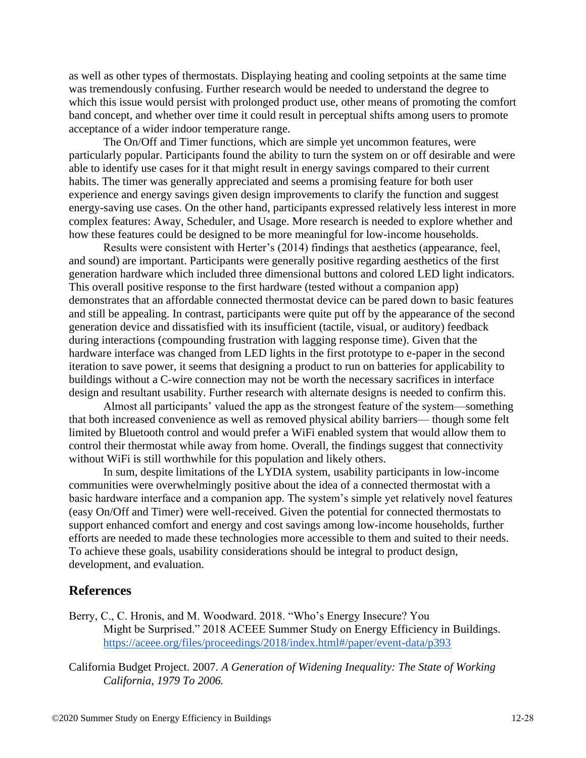as well as other types of thermostats. Displaying heating and cooling setpoints at the same time was tremendously confusing. Further research would be needed to understand the degree to which this issue would persist with prolonged product use, other means of promoting the comfort band concept, and whether over time it could result in perceptual shifts among users to promote acceptance of a wider indoor temperature range.

The On/Off and Timer functions, which are simple yet uncommon features, were particularly popular. Participants found the ability to turn the system on or off desirable and were able to identify use cases for it that might result in energy savings compared to their current habits. The timer was generally appreciated and seems a promising feature for both user experience and energy savings given design improvements to clarify the function and suggest energy-saving use cases. On the other hand, participants expressed relatively less interest in more complex features: Away, Scheduler, and Usage. More research is needed to explore whether and how these features could be designed to be more meaningful for low-income households.

Results were consistent with Herter's (2014) findings that aesthetics (appearance, feel, and sound) are important. Participants were generally positive regarding aesthetics of the first generation hardware which included three dimensional buttons and colored LED light indicators. This overall positive response to the first hardware (tested without a companion app) demonstrates that an affordable connected thermostat device can be pared down to basic features and still be appealing. In contrast, participants were quite put off by the appearance of the second generation device and dissatisfied with its insufficient (tactile, visual, or auditory) feedback during interactions (compounding frustration with lagging response time). Given that the hardware interface was changed from LED lights in the first prototype to e-paper in the second iteration to save power, it seems that designing a product to run on batteries for applicability to buildings without a C-wire connection may not be worth the necessary sacrifices in interface design and resultant usability. Further research with alternate designs is needed to confirm this.

Almost all participants' valued the app as the strongest feature of the system—something that both increased convenience as well as removed physical ability barriers— though some felt limited by Bluetooth control and would prefer a WiFi enabled system that would allow them to control their thermostat while away from home. Overall, the findings suggest that connectivity without WiFi is still worthwhile for this population and likely others.

In sum, despite limitations of the LYDIA system, usability participants in low-income communities were overwhelmingly positive about the idea of a connected thermostat with a basic hardware interface and a companion app. The system's simple yet relatively novel features (easy On/Off and Timer) were well-received. Given the potential for connected thermostats to support enhanced comfort and energy and cost savings among low-income households, further efforts are needed to made these technologies more accessible to them and suited to their needs. To achieve these goals, usability considerations should be integral to product design, development, and evaluation.

## **References**

- Berry, C., C. Hronis, and M. Woodward. 2018. "Who's Energy Insecure? You Might be Surprised." 2018 ACEEE Summer Study on Energy Efficiency in Buildings. <https://aceee.org/files/proceedings/2018/index.html#/paper/event-data/p393>
- California Budget Project. 2007. *A Generation of Widening Inequality: The State of Working California, 1979 To 2006.*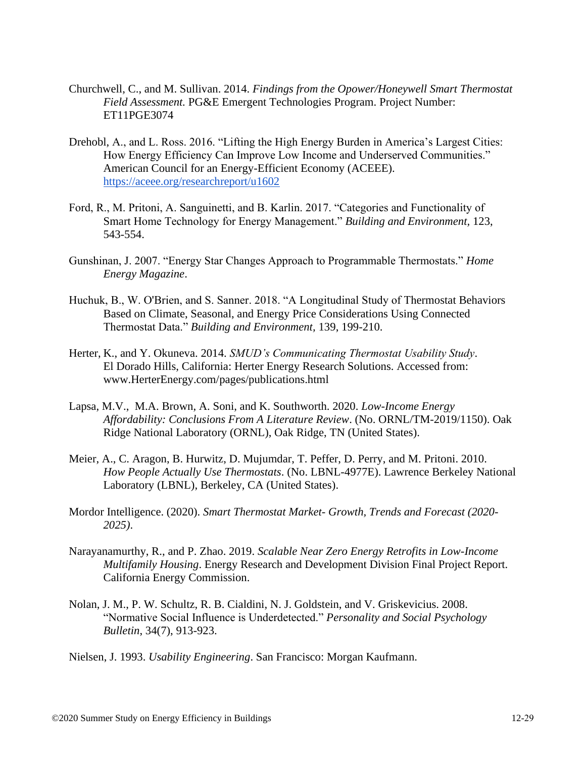- Churchwell, C., and M. Sullivan. 2014. *Findings from the Opower/Honeywell Smart Thermostat Field Assessment.* PG&E Emergent Technologies Program. Project Number: ET11PGE3074
- Drehobl, A., and L. Ross. 2016. "Lifting the High Energy Burden in America's Largest Cities: How Energy Efficiency Can Improve Low Income and Underserved Communities." American Council for an Energy-Efficient Economy (ACEEE). <https://aceee.org/researchreport/u1602>
- Ford, R., M. Pritoni, A. Sanguinetti, and B. Karlin. 2017. "Categories and Functionality of Smart Home Technology for Energy Management." *Building and Environment,* 123, 543-554.
- Gunshinan, J. 2007. "Energy Star Changes Approach to Programmable Thermostats." *Home Energy Magazine*.
- Huchuk, B., W. O'Brien, and S. Sanner. 2018. "A Longitudinal Study of Thermostat Behaviors Based on Climate, Seasonal, and Energy Price Considerations Using Connected Thermostat Data." *Building and Environment,* 139, 199-210.
- Herter, K., and Y. Okuneva. 2014. *SMUD's Communicating Thermostat Usability Study*. El Dorado Hills, California: Herter Energy Research Solutions. Accessed from: [www.HerterEnergy.com/pages/publications.html](http://www.herterenergy.com/pages/publications.html)
- Lapsa, M.V., M.A. Brown, A. Soni, and K. Southworth. 2020. *Low-Income Energy Affordability: Conclusions From A Literature Review*. (No. ORNL/TM-2019/1150). Oak Ridge National Laboratory (ORNL), Oak Ridge, TN (United States).
- Meier, A., C. Aragon, B. Hurwitz, D. Mujumdar, T. Peffer, D. Perry, and M. Pritoni. 2010. *How People Actually Use Thermostats*. (No. LBNL-4977E). Lawrence Berkeley National Laboratory (LBNL), Berkeley, CA (United States).
- Mordor Intelligence. (2020). *Smart Thermostat Market- Growth, Trends and Forecast (2020- 2025)*.
- Narayanamurthy, R., and P. Zhao. 2019. *Scalable Near Zero Energy Retrofits in Low-Income Multifamily Housing*. Energy Research and Development Division Final Project Report. California Energy Commission.
- Nolan, J. M., P. W. Schultz, R. B. Cialdini, N. J. Goldstein, and V. Griskevicius. 2008. "Normative Social Influence is Underdetected." *Personality and Social Psychology Bulletin*, 34(7), 913-923.

Nielsen, J. 1993. *Usability Engineering*. San Francisco: Morgan Kaufmann.